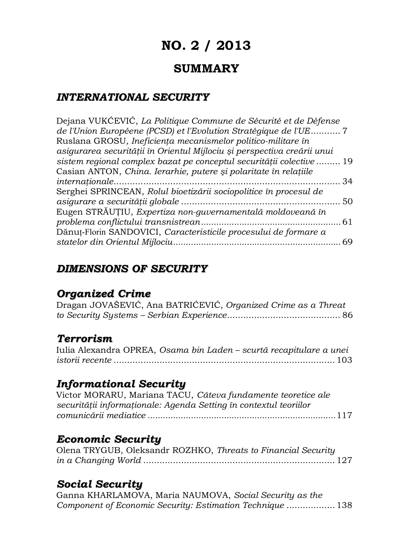# **NO. 2 / 2013**

# **SUMMARY**

### *INTERNATIONAL SECURITY*

| Dejana VUKĆEVIĆ, La Politique Commune de Sécurité et de Défense         |     |
|-------------------------------------------------------------------------|-----|
| de l'Union Européene (PCSD) et l'Evolution Stratégique de l'UE 7        |     |
| Ruslana GROSU, Ineficiența mecanismelor politico-militare în            |     |
| asigurarea securității în Orientul Mijlociu și perspectiva creării unui |     |
| sistem regional complex bazat pe conceptul securității colective  19    |     |
| Casian ANTON, China. Ierarhie, putere și polaritate în relațiile        |     |
|                                                                         | -34 |
| Serghei SPRINCEAN, Rolul bioetizării sociopolitice în procesul de       |     |
|                                                                         |     |
| Eugen STRĂUȚIU, Expertiza non-guvernamentală moldoveană în              |     |
|                                                                         |     |
| Dănuț-Florin SANDOVICI, Caracteristicile procesului de formare a        |     |
|                                                                         |     |
|                                                                         |     |

### *DIMENSIONS OF SECURITY*

### *Organized Crime*

Dragan JOVAŠEVIĆ, Ana BATRIĆEVIĆ, *Organized Crime as a Threat to Security Systems – Serbian Experience*.......................................... 86

### *Terrorism*

Iulia Alexandra OPREA, *Osama bin Laden – scurtă recapitulare a unei istorii recente* .................................................................................. 103

### *Informational Security*

Victor MORARU, Mariana TACU, *Câteva fundamente teoretice ale securităţii informaţionale: Agenda Setting în contextul teoriilor comunicării mediatice ..........................................................................*117

### *Economic Security*

| Olena TRYGUB, Oleksandr ROZHKO, Threats to Financial Security |  |
|---------------------------------------------------------------|--|
|                                                               |  |

## *Social Security*

Ganna KHARLAMOVA, Maria NAUMOVA, *Social Security as the Component of Economic Security: Estimation Technique* .................. 138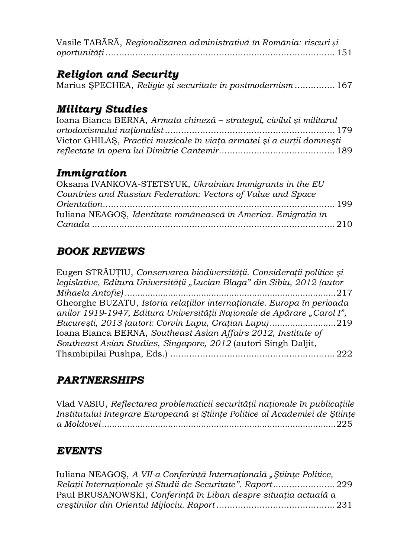|  | Vasile TABĂRĂ, Regionalizarea administrativă în România: riscuri și |  |
|--|---------------------------------------------------------------------|--|
|  |                                                                     |  |

## *Religion and Security*

|  | Marius ŞPECHEA, Religie și securitate în postmodernism 167 |  |
|--|------------------------------------------------------------|--|

### *Military Studies*

| Ioana Bianca BERNA, Armata chineză – strategul, civilul și militarul   |  |
|------------------------------------------------------------------------|--|
|                                                                        |  |
| Victor GHILAȘ, Practici muzicale în viața armatei și a curții domnești |  |
|                                                                        |  |

## *Immigration*

| Oksana IVANKOVA-STETSYUK, Ukrainian Immigrants in the EU       |  |
|----------------------------------------------------------------|--|
| Countries and Russian Federation: Vectors of Value and Space   |  |
|                                                                |  |
| Iuliana NEAGOS, Identitate românească în America. Emigratia în |  |
|                                                                |  |

# *BOOK REVIEWS*

| Eugen STRĂUȚIU, Conservarea biodiversității. Considerații politice și    |
|--------------------------------------------------------------------------|
| legislative, Editura Universității "Lucian Blaga" din Sibiu, 2012 (autor |
|                                                                          |
| Gheorghe BUZATU, Istoria relațiilor internaționale. Europa în perioada   |
| anilor 1919-1947, Editura Universității Naționale de Apărare "Carol I",  |
| București, 2013 (autori: Corvin Lupu, Grațian Lupu)219                   |
| Ioana Bianca BERNA, Southeast Asian Affairs 2012, Institute of           |
| Southeast Asian Studies, Singapore, 2012 (autori Singh Daljit,           |
|                                                                          |

# *PARTNERSHIPS*

Vlad VASIU, *Reflectarea problematicii securităţii naţionale în publicaţiile Institutului Integrare Europeană şi Ştiinţe Politice al Academiei de Ştiinţe a Moldovei............................................................................................*225

## *EVENTS*

| Iuliana NEAGOS, A VII-a Conferință Internațională "Științe Politice, |  |
|----------------------------------------------------------------------|--|
|                                                                      |  |
| Paul BRUSANOWSKI, Conferință în Liban despre situația actuală a      |  |
|                                                                      |  |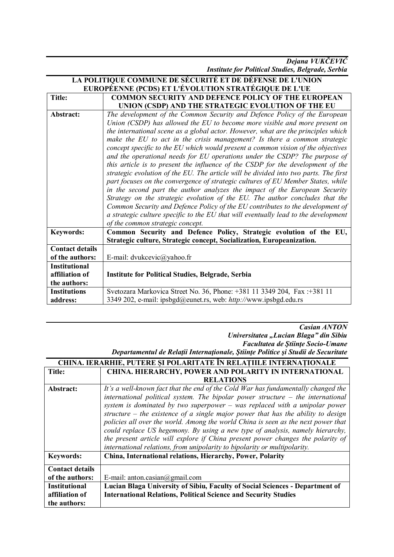*Dejana VUKČEVIĆ Institute for Political Studies, Belgrade, Serbia*

| LA POLITIQUE COMMUNE DE SÉCURITÉ ET DE DÉFENSE DE L'UNION |                                                                                      |  |
|-----------------------------------------------------------|--------------------------------------------------------------------------------------|--|
| EUROPÉENNE (PCDS) ET L'ÉVOLUTION STRATÉGIQUE DE L'UE      |                                                                                      |  |
| <b>Title:</b>                                             | <b>COMMON SECURITY AND DEFENCE POLICY OF THE EUROPEAN</b>                            |  |
|                                                           | UNION (CSDP) AND THE STRATEGIC EVOLUTION OF THE EU                                   |  |
| Abstract:                                                 | The development of the Common Security and Defence Policy of the European            |  |
|                                                           | Union (CSDP) has allowed the EU to become more visible and more present on           |  |
|                                                           | the international scene as a global actor. However, what are the principles which    |  |
|                                                           | make the EU to act in the crisis management? Is there a common strategic             |  |
|                                                           | concept specific to the EU which would present a common vision of the objectives     |  |
|                                                           | and the operational needs for EU operations under the CSDP? The purpose of           |  |
|                                                           | this article is to present the influence of the CSDP for the development of the      |  |
|                                                           | strategic evolution of the EU. The article will be divided into two parts. The first |  |
|                                                           | part focuses on the convergence of strategic cultures of EU Member States, while     |  |
|                                                           | in the second part the author analyzes the impact of the European Security           |  |
|                                                           | Strategy on the strategic evolution of the EU. The author concludes that the         |  |
|                                                           | Common Security and Defence Policy of the EU contributes to the development of       |  |
|                                                           | a strategic culture specific to the EU that will eventually lead to the development  |  |
|                                                           | of the common strategic concept.                                                     |  |
| <b>Keywords:</b>                                          | Common Security and Defence Policy, Strategic evolution of the EU,                   |  |
|                                                           | Strategic culture, Strategic concept, Socialization, Europeanization.                |  |
| <b>Contact details</b>                                    |                                                                                      |  |
| of the authors:                                           | E-mail: dvukcevic@yahoo.fr                                                           |  |
| <b>Institutional</b>                                      |                                                                                      |  |
| affiliation of                                            | <b>Institute for Political Studies, Belgrade, Serbia</b>                             |  |
| the authors:                                              |                                                                                      |  |
| <b>Institutions</b>                                       | Svetozara Markovica Street No. 36, Phone: +381 11 3349 204, Fax: +381 11             |  |
| address:                                                  | 3349 202, e-mail: ipsbgd@eunet.rs, web: http://www.ipsbgd.edu.rs                     |  |

*Casian ANTON*

*Universitatea "Lucian Blaga" din Sibiu Facultatea de Ştiinţe Socio-Umane Departamentul de Relaţii Internaţionale, Ştiinţe Politice şi Studii de Securitate*

| <b>CHINA. IERARHIE, PUTERE SI POLARITATE ÎN RELATIILE INTERNATIONALE</b> |                                                                                    |  |
|--------------------------------------------------------------------------|------------------------------------------------------------------------------------|--|
| <b>Title:</b>                                                            | <b>CHINA. HIERARCHY, POWER AND POLARITY IN INTERNATIONAL</b>                       |  |
|                                                                          | <b>RELATIONS</b>                                                                   |  |
| Abstract:                                                                | It's a well-known fact that the end of the Cold War has fundamentally changed the  |  |
|                                                                          | international political system. The bipolar power structure $-$ the international  |  |
|                                                                          | system is dominated by two superpower $-$ was replaced with a unipolar power       |  |
|                                                                          | structure $-$ the existence of a single major power that has the ability to design |  |
|                                                                          | policies all over the world. Among the world China is seen as the next power that  |  |
|                                                                          | could replace US hegemony. By using a new type of analysis, namely hierarchy,      |  |
|                                                                          | the present article will explore if China present power changes the polarity of    |  |
|                                                                          | international relations, from unipolarity to bipolarity or multipolarity.          |  |
| <b>Keywords:</b>                                                         | China, International relations, Hierarchy, Power, Polarity                         |  |
| <b>Contact details</b>                                                   |                                                                                    |  |
| of the authors:                                                          | E-mail: anton.casian@gmail.com                                                     |  |
| <b>Institutional</b>                                                     | Lucian Blaga University of Sibiu, Faculty of Social Sciences - Department of       |  |
| affiliation of                                                           | <b>International Relations, Political Science and Security Studies</b>             |  |
| the authors:                                                             |                                                                                    |  |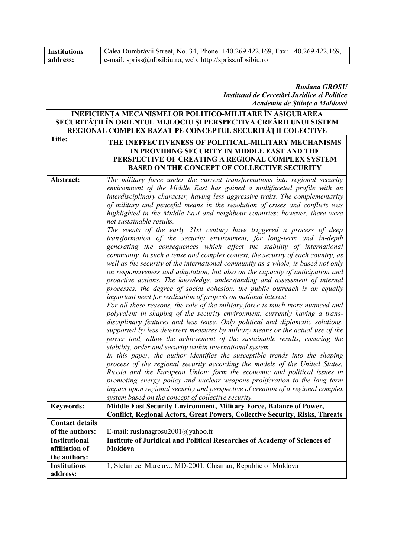| <b>Institutions</b> | Calea Dumbrăvii Street, No. 34, Phone: +40.269.422.169, Fax: +40.269.422.169, |
|---------------------|-------------------------------------------------------------------------------|
| address:            | e-mail: $spriss@ulbsibiu.ro, web: http://spriss.ubsibiu.ro$                   |

#### *Ruslana GROSU Institutul de Cercetări Juridice și Politice Academia de Ştiinţe a Moldovei*

#### **INEFICIENȚA MECANISMELOR POLITICO-MILITARE ÎN ASIGURAREA SECURITĂȚII ÎN ORIENTUL MIJLOCIU ȘI PERSPECTIVA CREĂRII UNUI SISTEM REGIONAL COMPLEX BAZAT PE CONCEPTUL SECURITĂȚII COLECTIVE**

| <b>Title:</b>          | THE INEFFECTIVENESS OF POLITICAL-MILITARY MECHANISMS<br>IN PROVIDING SECURITY IN MIDDLE EAST AND THE<br>PERSPECTIVE OF CREATING A REGIONAL COMPLEX SYSTEM<br><b>BASED ON THE CONCEPT OF COLLECTIVE SECURITY</b>                                                                                                                                                                                                                                                                                                                                                                                                                                                                                                                                                                                                                                                                                                                                                                                                                                                                                                                                                                                                                                                                                                                                                                                                                                                                                                                                                                                                                                                                                                                                                                                                                                                                                                                                                                                                                                                                                                       |
|------------------------|-----------------------------------------------------------------------------------------------------------------------------------------------------------------------------------------------------------------------------------------------------------------------------------------------------------------------------------------------------------------------------------------------------------------------------------------------------------------------------------------------------------------------------------------------------------------------------------------------------------------------------------------------------------------------------------------------------------------------------------------------------------------------------------------------------------------------------------------------------------------------------------------------------------------------------------------------------------------------------------------------------------------------------------------------------------------------------------------------------------------------------------------------------------------------------------------------------------------------------------------------------------------------------------------------------------------------------------------------------------------------------------------------------------------------------------------------------------------------------------------------------------------------------------------------------------------------------------------------------------------------------------------------------------------------------------------------------------------------------------------------------------------------------------------------------------------------------------------------------------------------------------------------------------------------------------------------------------------------------------------------------------------------------------------------------------------------------------------------------------------------|
| Abstract:              | The military force under the current transformations into regional security<br>environment of the Middle East has gained a multifaceted profile with an<br>interdisciplinary character, having less aggressive traits. The complementarity<br>of military and peaceful means in the resolution of crises and conflicts was<br>highlighted in the Middle East and neighbour countries; however, there were<br>not sustainable results.<br>The events of the early 21st century have triggered a process of deep<br>transformation of the security environment, for long-term and in-depth<br>generating the consequences which affect the stability of international<br>community. In such a tense and complex context, the security of each country, as<br>well as the security of the international community as a whole, is based not only<br>on responsiveness and adaptation, but also on the capacity of anticipation and<br>proactive actions. The knowledge, understanding and assessment of internal<br>processes, the degree of social cohesion, the public outreach is an equally<br>important need for realization of projects on national interest.<br>For all these reasons, the role of the military force is much more nuanced and<br>polyvalent in shaping of the security environment, currently having a trans-<br>disciplinary features and less tense. Only political and diplomatic solutions,<br>supported by less deterrent measures by military means or the actual use of the<br>power tool, allow the achievement of the sustainable results, ensuring the<br>stability, order and security within international system.<br>In this paper, the author identifies the susceptible trends into the shaping<br>process of the regional security according the models of the United States,<br>Russia and the European Union: form the economic and political issues in<br>promoting energy policy and nuclear weapons proliferation to the long term<br>impact upon regional security and perspective of creation of a regional complex<br>system based on the concept of collective security. |
| <b>Keywords:</b>       | Middle East Security Environment, Military Force, Balance of Power,                                                                                                                                                                                                                                                                                                                                                                                                                                                                                                                                                                                                                                                                                                                                                                                                                                                                                                                                                                                                                                                                                                                                                                                                                                                                                                                                                                                                                                                                                                                                                                                                                                                                                                                                                                                                                                                                                                                                                                                                                                                   |
|                        | <b>Conflict, Regional Actors, Great Powers, Collective Security, Risks, Threats</b>                                                                                                                                                                                                                                                                                                                                                                                                                                                                                                                                                                                                                                                                                                                                                                                                                                                                                                                                                                                                                                                                                                                                                                                                                                                                                                                                                                                                                                                                                                                                                                                                                                                                                                                                                                                                                                                                                                                                                                                                                                   |
| <b>Contact details</b> |                                                                                                                                                                                                                                                                                                                                                                                                                                                                                                                                                                                                                                                                                                                                                                                                                                                                                                                                                                                                                                                                                                                                                                                                                                                                                                                                                                                                                                                                                                                                                                                                                                                                                                                                                                                                                                                                                                                                                                                                                                                                                                                       |
| of the authors:        | E-mail: ruslanagrosu2001@yahoo.fr                                                                                                                                                                                                                                                                                                                                                                                                                                                                                                                                                                                                                                                                                                                                                                                                                                                                                                                                                                                                                                                                                                                                                                                                                                                                                                                                                                                                                                                                                                                                                                                                                                                                                                                                                                                                                                                                                                                                                                                                                                                                                     |
| <b>Institutional</b>   | <b>Institute of Juridical and Political Researches of Academy of Sciences of</b>                                                                                                                                                                                                                                                                                                                                                                                                                                                                                                                                                                                                                                                                                                                                                                                                                                                                                                                                                                                                                                                                                                                                                                                                                                                                                                                                                                                                                                                                                                                                                                                                                                                                                                                                                                                                                                                                                                                                                                                                                                      |
| affiliation of         | <b>Moldova</b>                                                                                                                                                                                                                                                                                                                                                                                                                                                                                                                                                                                                                                                                                                                                                                                                                                                                                                                                                                                                                                                                                                                                                                                                                                                                                                                                                                                                                                                                                                                                                                                                                                                                                                                                                                                                                                                                                                                                                                                                                                                                                                        |
| the authors:           |                                                                                                                                                                                                                                                                                                                                                                                                                                                                                                                                                                                                                                                                                                                                                                                                                                                                                                                                                                                                                                                                                                                                                                                                                                                                                                                                                                                                                                                                                                                                                                                                                                                                                                                                                                                                                                                                                                                                                                                                                                                                                                                       |
| <b>Institutions</b>    | 1, Stefan cel Mare av., MD-2001, Chisinau, Republic of Moldova                                                                                                                                                                                                                                                                                                                                                                                                                                                                                                                                                                                                                                                                                                                                                                                                                                                                                                                                                                                                                                                                                                                                                                                                                                                                                                                                                                                                                                                                                                                                                                                                                                                                                                                                                                                                                                                                                                                                                                                                                                                        |
| address:               |                                                                                                                                                                                                                                                                                                                                                                                                                                                                                                                                                                                                                                                                                                                                                                                                                                                                                                                                                                                                                                                                                                                                                                                                                                                                                                                                                                                                                                                                                                                                                                                                                                                                                                                                                                                                                                                                                                                                                                                                                                                                                                                       |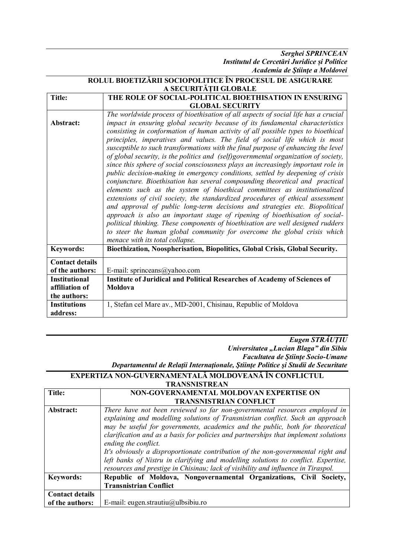*Serghei SPRINCEAN Institutul de Cercetări Juridice și Politice Academia de Ştiinţe a Moldovei*

|                        | ROLUL BIOETIZĂRII SOCIOPOLITICE ÎN PROCESUL DE ASIGURARE                                                                                                          |
|------------------------|-------------------------------------------------------------------------------------------------------------------------------------------------------------------|
| A SECURITĂȚII GLOBALE  |                                                                                                                                                                   |
| <b>Title:</b>          | THE ROLE OF SOCIAL-POLITICAL BIOETHISATION IN ENSURING                                                                                                            |
|                        | <b>GLOBAL SECURITY</b>                                                                                                                                            |
|                        | The worldwide process of bioethisation of all aspects of social life has a crucial                                                                                |
| Abstract:              | impact in ensuring global security because of its fundamental characteristics<br>consisting in conformation of human activity of all possible types to bioethical |
|                        | principles, imperatives and values. The field of social life which is most                                                                                        |
|                        | susceptible to such transformations with the final purpose of enhancing the level                                                                                 |
|                        | of global security, is the politics and (self)governmental organization of society,                                                                               |
|                        | since this sphere of social consciousness plays an increasingly important role in                                                                                 |
|                        | public decision-making in emergency conditions, settled by deepening of crisis                                                                                    |
|                        | conjuncture. Bioethisation has several compounding theoretical and practical                                                                                      |
|                        | elements such as the system of bioethical committees as institutionalized                                                                                         |
|                        | extensions of civil society, the standardized procedures of ethical assessment<br>and approval of public long-term decisions and strategies etc. Biopolitical     |
|                        | approach is also an important stage of ripening of bioethisation of social-                                                                                       |
|                        | political thinking. These components of bioethisation are well designed rudders                                                                                   |
|                        | to steer the human global community for overcome the global crisis which                                                                                          |
|                        | menace with its total collapse.                                                                                                                                   |
| <b>Keywords:</b>       | Bioethization, Noospherisation, Biopolitics, Global Crisis, Global Security.                                                                                      |
| <b>Contact details</b> |                                                                                                                                                                   |
| of the authors:        | E-mail: sprinceans@yahoo.com                                                                                                                                      |
| <b>Institutional</b>   | <b>Institute of Juridical and Political Researches of Academy of Sciences of</b>                                                                                  |
| affiliation of         | Moldova                                                                                                                                                           |
| the authors:           |                                                                                                                                                                   |
| <b>Institutions</b>    | 1, Stefan cel Mare av., MD-2001, Chisinau, Republic of Moldova                                                                                                    |
| address:               |                                                                                                                                                                   |

*Eugen STRĂUŢIU Universitatea "Lucian Blaga" din Sibiu Facultatea de Ştiinţe Socio-Umane Departamentul de Relaţii Internaţionale, Ştiinţe Politice şi Studii de Securitate*

| EXPERTIZA NON-GUVERNAMENTALĂ MOLDOVEANĂ ÎN CONFLICTUL |
|-------------------------------------------------------|
| <b>TRANSNISTREAN</b>                                  |

| Title:                 | NON-GOVERNAMENTAL MOLDOVAN EXPERTISE ON                                                                                                                                                                                                                                        |
|------------------------|--------------------------------------------------------------------------------------------------------------------------------------------------------------------------------------------------------------------------------------------------------------------------------|
|                        | <b>TRANSNISTRIAN CONFLICT</b>                                                                                                                                                                                                                                                  |
| Abstract:              | There have not been reviewed so far non-governmental resources employed in                                                                                                                                                                                                     |
|                        | explaining and modelling solutions of Transnistrian conflict. Such an approach<br>may be useful for governments, academics and the public, both for theoretical<br>clarification and as a basis for policies and partnerships that implement solutions<br>ending the conflict. |
|                        | It's obviously a disproportionate contribution of the non-governmental right and<br>left banks of Nistru in clarifying and modelling solutions to conflict. Expertise,<br>resources and prestige in Chisinau; lack of visibility and influence in Tiraspol.                    |
| <b>Keywords:</b>       | Republic of Moldova, Nongovernamental Organizations, Civil Society,                                                                                                                                                                                                            |
|                        | <b>Transnistrian Conflict</b>                                                                                                                                                                                                                                                  |
| <b>Contact details</b> |                                                                                                                                                                                                                                                                                |
| of the authors:        | E-mail: eugen.strautiu@ulbsibiu.ro                                                                                                                                                                                                                                             |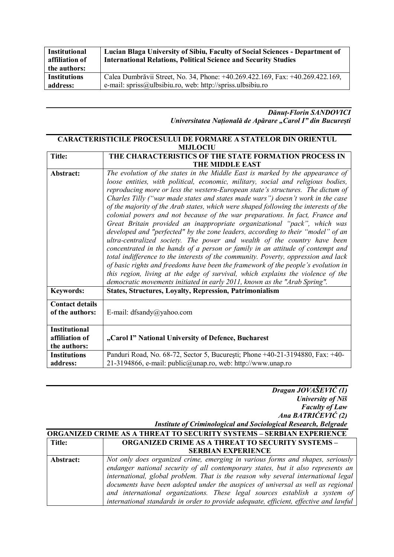| <b>Institutional</b><br>affiliation of | Lucian Blaga University of Sibiu, Faculty of Social Sciences - Department of<br><b>International Relations, Political Science and Security Studies</b> |
|----------------------------------------|--------------------------------------------------------------------------------------------------------------------------------------------------------|
| the authors:                           |                                                                                                                                                        |
| <b>Institutions</b>                    | Calea Dumbrăvii Street, No. 34, Phone: +40.269.422.169, Fax: +40.269.422.169,                                                                          |
| address:                               | e-mail: spriss@ulbsibiu.ro, web: http://spriss.ulbsibiu.ro                                                                                             |

#### *Dănuț-Florin SANDOVICI Universitatea Națională de Apărare "Carol I" din București*

#### **CARACTERISTICILE PROCESULUI DE FORMARE A STATELOR DIN ORIENTUL MIJLOCIU**

| <b>Title:</b>                                          | THE CHARACTERISTICS OF THE STATE FORMATION PROCESS IN                                                                                                                                                                                                                                                                                                                                                                                                                                                                                                                                                                                                                                                                                                                                                                                                                                                                                                                                                                                                                                                                                                                                   |
|--------------------------------------------------------|-----------------------------------------------------------------------------------------------------------------------------------------------------------------------------------------------------------------------------------------------------------------------------------------------------------------------------------------------------------------------------------------------------------------------------------------------------------------------------------------------------------------------------------------------------------------------------------------------------------------------------------------------------------------------------------------------------------------------------------------------------------------------------------------------------------------------------------------------------------------------------------------------------------------------------------------------------------------------------------------------------------------------------------------------------------------------------------------------------------------------------------------------------------------------------------------|
|                                                        | THE MIDDLE EAST                                                                                                                                                                                                                                                                                                                                                                                                                                                                                                                                                                                                                                                                                                                                                                                                                                                                                                                                                                                                                                                                                                                                                                         |
| Abstract:                                              | The evolution of the states in the Middle East is marked by the appearance of<br>loose entities, with political, economic, military, social and religious bodies,<br>reproducing more or less the western-European state's structures. The dictum of<br>Charles Tilly ("war made states and states made wars") doesn't work in the case<br>of the majority of the Arab states, which were shaped following the interests of the<br>colonial powers and not because of the war preparations. In fact, France and<br>Great Britain provided an inappropriate organizational "pack", which was<br>developed and "perfected" by the zone leaders, according to their "model" of an<br>ultra-centralized society. The power and wealth of the country have been<br>concentrated in the hands of a person or family in an attitude of contempt and<br>total indifference to the interests of the community. Poverty, oppression and lack<br>of basic rights and freedoms have been the framework of the people's evolution in<br>this region, living at the edge of survival, which explains the violence of the<br>democratic movements initiated in early 2011, known as the "Arab Spring". |
| <b>Keywords:</b>                                       | <b>States, Structures, Loyalty, Repression, Patrimonialism</b>                                                                                                                                                                                                                                                                                                                                                                                                                                                                                                                                                                                                                                                                                                                                                                                                                                                                                                                                                                                                                                                                                                                          |
| <b>Contact details</b><br>of the authors:              | E-mail: dfsandy@yahoo.com                                                                                                                                                                                                                                                                                                                                                                                                                                                                                                                                                                                                                                                                                                                                                                                                                                                                                                                                                                                                                                                                                                                                                               |
| <b>Institutional</b><br>affiliation of<br>the authors: | "Carol I" National University of Defence, Bucharest                                                                                                                                                                                                                                                                                                                                                                                                                                                                                                                                                                                                                                                                                                                                                                                                                                                                                                                                                                                                                                                                                                                                     |
| <b>Institutions</b><br>address:                        | Panduri Road, No. 68-72, Sector 5, București; Phone +40-21-3194880, Fax: +40-<br>21-3194866, e-mail: public@unap.ro, web: http://www.unap.ro                                                                                                                                                                                                                                                                                                                                                                                                                                                                                                                                                                                                                                                                                                                                                                                                                                                                                                                                                                                                                                            |

| Dragan JOVAŠEVIĆ (1)                                                   |
|------------------------------------------------------------------------|
| University of Niš                                                      |
| <b>Faculty of Law</b>                                                  |
| Ana BATRIĆEVIĆ (2)                                                     |
| <b>Institute of Criminological and Sociological Research, Belgrade</b> |

| <b>ORGANIZED CRIME AS A THREAT TO SECURITY SYSTEMS - SERBIAN EXPERIENCE</b> |                                                                                                                                                                                                                                                                                                                                                                                                                                                                                                                   |
|-----------------------------------------------------------------------------|-------------------------------------------------------------------------------------------------------------------------------------------------------------------------------------------------------------------------------------------------------------------------------------------------------------------------------------------------------------------------------------------------------------------------------------------------------------------------------------------------------------------|
| <b>Title:</b>                                                               | <b>ORGANIZED CRIME AS A THREAT TO SECURITY SYSTEMS -</b>                                                                                                                                                                                                                                                                                                                                                                                                                                                          |
|                                                                             | <b>SERBIAN EXPERIENCE</b>                                                                                                                                                                                                                                                                                                                                                                                                                                                                                         |
| Abstract:                                                                   | Not only does organized crime, emerging in various forms and shapes, seriously<br>endanger national security of all contemporary states, but it also represents an<br>international, global problem. That is the reason why several international legal<br>documents have been adopted under the auspices of universal as well as regional<br>and international organizations. These legal sources establish a system of<br>international standards in order to provide adequate, efficient, effective and lawful |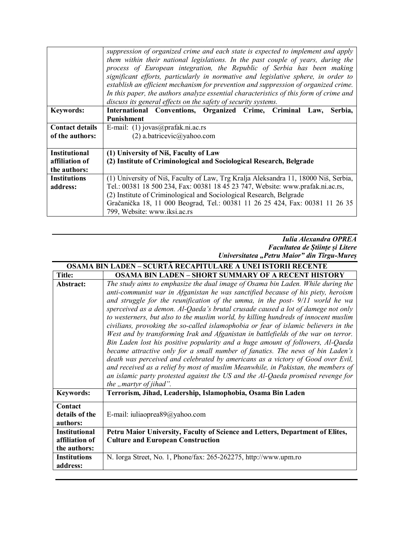|                        | suppression of organized crime and each state is expected to implement and apply<br>them within their national legislations. In the past couple of years, during the<br>process of European integration, the Republic of Serbia has been making<br>significant efforts, particularly in normative and legislative sphere, in order to<br>establish an efficient mechanism for prevention and suppression of organized crime.<br>In this paper, the authors analyze essential characteristics of this form of crime and<br>discuss its general effects on the safety of security systems. |
|------------------------|------------------------------------------------------------------------------------------------------------------------------------------------------------------------------------------------------------------------------------------------------------------------------------------------------------------------------------------------------------------------------------------------------------------------------------------------------------------------------------------------------------------------------------------------------------------------------------------|
| <b>Keywords:</b>       | International Conventions, Organized Crime, Criminal Law,<br>Serbia,                                                                                                                                                                                                                                                                                                                                                                                                                                                                                                                     |
|                        | <b>Punishment</b>                                                                                                                                                                                                                                                                                                                                                                                                                                                                                                                                                                        |
| <b>Contact details</b> | E-mail: $(1)$ jovas@prafak.ni.ac.rs                                                                                                                                                                                                                                                                                                                                                                                                                                                                                                                                                      |
| of the authors:        | $(2)$ a.batricevic $\omega$ yahoo.com                                                                                                                                                                                                                                                                                                                                                                                                                                                                                                                                                    |
|                        |                                                                                                                                                                                                                                                                                                                                                                                                                                                                                                                                                                                          |
| <b>Institutional</b>   | (1) University of Niš, Faculty of Law                                                                                                                                                                                                                                                                                                                                                                                                                                                                                                                                                    |
| affiliation of         | (2) Institute of Criminological and Sociological Research, Belgrade                                                                                                                                                                                                                                                                                                                                                                                                                                                                                                                      |
| the authors:           |                                                                                                                                                                                                                                                                                                                                                                                                                                                                                                                                                                                          |
| <b>Institutions</b>    | (1) University of Niš, Faculty of Law, Trg Kralja Aleksandra 11, 18000 Niš, Serbia,                                                                                                                                                                                                                                                                                                                                                                                                                                                                                                      |
| address:               | Tel.: 00381 18 500 234, Fax: 00381 18 45 23 747, Website: www.prafak.ni.ac.rs,                                                                                                                                                                                                                                                                                                                                                                                                                                                                                                           |
|                        | (2) Institute of Criminological and Sociological Research, Belgrade                                                                                                                                                                                                                                                                                                                                                                                                                                                                                                                      |
|                        | Gračanička 18, 11 000 Beograd, Tel.: 00381 11 26 25 424, Fax: 00381 11 26 35                                                                                                                                                                                                                                                                                                                                                                                                                                                                                                             |
|                        | 799, Website: www.iksi.ac.rs                                                                                                                                                                                                                                                                                                                                                                                                                                                                                                                                                             |

#### *Iulia Alexandra OPREA Facultatea de Științe și Litere Universitatea "Petru Maior" din Tîrgu-Mureș*

| OSAMA BIN LADEN – SCURTĂ RECAPITULARE A UNEI ISTORII RECENTE |                                                                                                                                                                                                                                                                                                                                                                                                                                                                                                                                                                                                                                                                                                                                                                                                                                                                                                                                                                                                                                                                        |
|--------------------------------------------------------------|------------------------------------------------------------------------------------------------------------------------------------------------------------------------------------------------------------------------------------------------------------------------------------------------------------------------------------------------------------------------------------------------------------------------------------------------------------------------------------------------------------------------------------------------------------------------------------------------------------------------------------------------------------------------------------------------------------------------------------------------------------------------------------------------------------------------------------------------------------------------------------------------------------------------------------------------------------------------------------------------------------------------------------------------------------------------|
| <b>Title:</b>                                                | <b>OSAMA BIN LADEN - SHORT SUMMARY OF A RECENT HISTORY</b>                                                                                                                                                                                                                                                                                                                                                                                                                                                                                                                                                                                                                                                                                                                                                                                                                                                                                                                                                                                                             |
| Abstract:                                                    | The study aims to emphasize the dual image of Osama bin Laden. While during the<br>anti-communist war in Afganistan he was sanctified because of his piety, heroism<br>and struggle for the reunification of the umma, in the post- 9/11 world he wa<br>sperceived as a demon. Al-Qaeda's brutal crusade caused a lot of damege not only<br>to westerners, but also to the muslim world, by killing hundreds of innocent muslim<br>civilians, provoking the so-called islamophobia or fear of islamic believers in the<br>West and by transforming Irak and Afganistan in battlefields of the war on terror.<br>Bin Laden lost his positive popularity and a huge amount of followers, Al-Qaeda<br>became attractive only for a small number of fanatics. The news of bin Laden's<br>death was perceived and celebrated by americans as a victory of Good over Evil,<br>and received as a relief by most of muslim Meanwhile, in Pakistan, the members of<br>an islamic party protested against the US and the Al-Qaeda promised revenge for<br>the "martyr of jihad". |
| <b>Keywords:</b>                                             | Terrorism, Jihad, Leadership, Islamophobia, Osama Bin Laden                                                                                                                                                                                                                                                                                                                                                                                                                                                                                                                                                                                                                                                                                                                                                                                                                                                                                                                                                                                                            |
| Contact<br>details of the<br>authors:                        | E-mail: iuliaoprea89@yahoo.com                                                                                                                                                                                                                                                                                                                                                                                                                                                                                                                                                                                                                                                                                                                                                                                                                                                                                                                                                                                                                                         |
| <b>Institutional</b><br>affiliation of<br>the authors:       | Petru Maior University, Faculty of Science and Letters, Department of Elites,<br><b>Culture and European Construction</b>                                                                                                                                                                                                                                                                                                                                                                                                                                                                                                                                                                                                                                                                                                                                                                                                                                                                                                                                              |
| <b>Institutions</b><br>address:                              | N. Iorga Street, No. 1, Phone/fax: 265-262275, http://www.upm.ro                                                                                                                                                                                                                                                                                                                                                                                                                                                                                                                                                                                                                                                                                                                                                                                                                                                                                                                                                                                                       |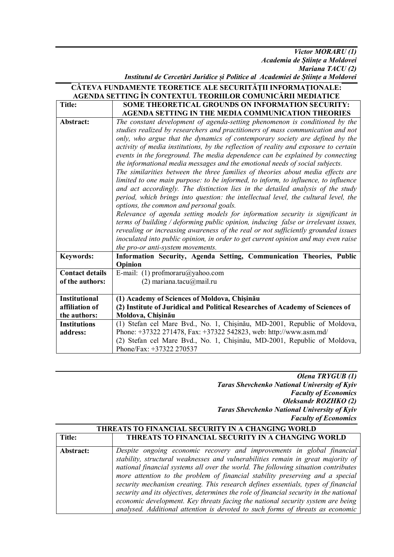*Victor MORARU (1) Academia de Științe a Moldovei Mariana TACU (2) Institutul de Cercetări Juridice și Politice al Academiei de Științe a Moldovei*

| CÂTEVA FUNDAMENTE TEORETICE ALE SECURITĂȚII INFORMAȚIONALE:<br>AGENDA SETTING ÎN CONTEXTUL TEORIILOR COMUNICĂRII MEDIATICE |                                                                                                                                                                                                                                                                                                                                                                                                                                                                                                                                                                                                                                                                                                                                                                                                                                                                                                                                                                                                                                                                                                                                                                                                                                                                                              |
|----------------------------------------------------------------------------------------------------------------------------|----------------------------------------------------------------------------------------------------------------------------------------------------------------------------------------------------------------------------------------------------------------------------------------------------------------------------------------------------------------------------------------------------------------------------------------------------------------------------------------------------------------------------------------------------------------------------------------------------------------------------------------------------------------------------------------------------------------------------------------------------------------------------------------------------------------------------------------------------------------------------------------------------------------------------------------------------------------------------------------------------------------------------------------------------------------------------------------------------------------------------------------------------------------------------------------------------------------------------------------------------------------------------------------------|
| <b>Title:</b>                                                                                                              | <b>SOME THEORETICAL GROUNDS ON INFORMATION SECURITY:</b>                                                                                                                                                                                                                                                                                                                                                                                                                                                                                                                                                                                                                                                                                                                                                                                                                                                                                                                                                                                                                                                                                                                                                                                                                                     |
|                                                                                                                            | AGENDA SETTING IN THE MEDIA COMMUNICATION THEORIES                                                                                                                                                                                                                                                                                                                                                                                                                                                                                                                                                                                                                                                                                                                                                                                                                                                                                                                                                                                                                                                                                                                                                                                                                                           |
| Abstract:                                                                                                                  | The constant development of agenda-setting phenomenon is conditioned by the<br>studies realized by researchers and practitioners of mass communication and not<br>only, who argue that the dynamics of contemporary society are defined by the<br>activity of media institutions, by the reflection of reality and exposure to certain<br>events in the foreground. The media dependence can be explained by connecting<br>the informational media messages and the emotional needs of social subjects.<br>The similarities between the three families of theories about media effects are<br>limited to one main purpose: to be informed, to inform, to influence, to influence<br>and act accordingly. The distinction lies in the detailed analysis of the study<br>period, which brings into question: the intellectual level, the cultural level, the<br>options, the common and personal goals.<br>Relevance of agenda setting models for information security is significant in<br>terms of building / deforming public opinion, inducing false or irrelevant issues,<br>revealing or increasing awareness of the real or not sufficiently grounded issues<br>inoculated into public opinion, in order to get current opinion and may even raise<br>the pro-or anti-system movements. |
| <b>Keywords:</b>                                                                                                           | Information Security, Agenda Setting, Communication Theories, Public<br>Opinion                                                                                                                                                                                                                                                                                                                                                                                                                                                                                                                                                                                                                                                                                                                                                                                                                                                                                                                                                                                                                                                                                                                                                                                                              |
| <b>Contact details</b>                                                                                                     | E-mail: (1) profmoraru@yahoo.com                                                                                                                                                                                                                                                                                                                                                                                                                                                                                                                                                                                                                                                                                                                                                                                                                                                                                                                                                                                                                                                                                                                                                                                                                                                             |
| of the authors:                                                                                                            | $(2)$ mariana.tacu $(\partial)$ mail.ru                                                                                                                                                                                                                                                                                                                                                                                                                                                                                                                                                                                                                                                                                                                                                                                                                                                                                                                                                                                                                                                                                                                                                                                                                                                      |
| <b>Institutional</b>                                                                                                       | (1) Academy of Sciences of Moldova, Chișinău                                                                                                                                                                                                                                                                                                                                                                                                                                                                                                                                                                                                                                                                                                                                                                                                                                                                                                                                                                                                                                                                                                                                                                                                                                                 |
| affiliation of                                                                                                             | (2) Institute of Juridical and Political Researches of Academy of Sciences of                                                                                                                                                                                                                                                                                                                                                                                                                                                                                                                                                                                                                                                                                                                                                                                                                                                                                                                                                                                                                                                                                                                                                                                                                |
| the authors:                                                                                                               | Moldova, Chișinău                                                                                                                                                                                                                                                                                                                                                                                                                                                                                                                                                                                                                                                                                                                                                                                                                                                                                                                                                                                                                                                                                                                                                                                                                                                                            |
| <b>Institutions</b><br>address:                                                                                            | (1) Stefan cel Mare Bvd., No. 1, Chișinău, MD-2001, Republic of Moldova,<br>Phone: +37322 271478, Fax: +37322 542823, web: http://www.asm.md/<br>(2) Stefan cel Mare Bvd., No. 1, Chisinău, MD-2001, Republic of Moldova,                                                                                                                                                                                                                                                                                                                                                                                                                                                                                                                                                                                                                                                                                                                                                                                                                                                                                                                                                                                                                                                                    |
|                                                                                                                            | Phone/Fax: +37322 270537                                                                                                                                                                                                                                                                                                                                                                                                                                                                                                                                                                                                                                                                                                                                                                                                                                                                                                                                                                                                                                                                                                                                                                                                                                                                     |

*Olena TRYGUB (1) Taras Shevchenko National University of Kyiv Faculty of Economics Oleksandr ROZHKO (2) Taras Shevchenko National University of Kyiv Faculty of Economics*

| <b>THREATS TO FINANCIAL SECURITY IN A CHANGING WORLD</b> |                                                                                                                                                                                                                                                                                                                                                                                                                                                                                                                                                                                                                                                                                       |
|----------------------------------------------------------|---------------------------------------------------------------------------------------------------------------------------------------------------------------------------------------------------------------------------------------------------------------------------------------------------------------------------------------------------------------------------------------------------------------------------------------------------------------------------------------------------------------------------------------------------------------------------------------------------------------------------------------------------------------------------------------|
| <b>Title:</b>                                            | THREATS TO FINANCIAL SECURITY IN A CHANGING WORLD                                                                                                                                                                                                                                                                                                                                                                                                                                                                                                                                                                                                                                     |
| Abstract:                                                | Despite ongoing economic recovery and improvements in global financial<br>stability, structural weaknesses and vulnerabilities remain in great majority of<br>national financial systems all over the world. The following situation contributes<br>more attention to the problem of financial stability preserving and a special<br>security mechanism creating. This research defines essentials, types of financial<br>security and its objectives, determines the role of financial security in the national<br>economic development. Key threats facing the national security system are being<br>analysed. Additional attention is devoted to such forms of threats as economic |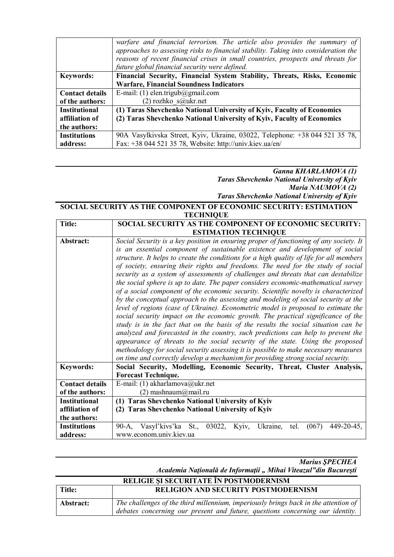|                        | warfare and financial terrorism. The article also provides the summary of<br>approaches to assessing risks to financial stability. Taking into consideration the<br>reasons of recent financial crises in small countries, prospects and threats for<br>future global financial security were defined. |
|------------------------|--------------------------------------------------------------------------------------------------------------------------------------------------------------------------------------------------------------------------------------------------------------------------------------------------------|
| <b>Keywords:</b>       | Financial Security, Financial System Stability, Threats, Risks, Economic                                                                                                                                                                                                                               |
|                        | <b>Warfare, Financial Soundness Indicators</b>                                                                                                                                                                                                                                                         |
| <b>Contact details</b> | E-mail: (1) elen.trigub@gmail.com                                                                                                                                                                                                                                                                      |
| of the authors:        | $(2)$ rozhko s $@$ ukr.net                                                                                                                                                                                                                                                                             |
| <b>Institutional</b>   | (1) Taras Shevchenko National University of Kyiv, Faculty of Economics                                                                                                                                                                                                                                 |
| affiliation of         | (2) Taras Shevchenko National University of Kyiv, Faculty of Economics                                                                                                                                                                                                                                 |
| the authors:           |                                                                                                                                                                                                                                                                                                        |
| <b>Institutions</b>    | 90A Vasylkivska Street, Kyiv, Ukraine, 03022, Telephone: +38 044 521 35 78,                                                                                                                                                                                                                            |
| address:               | Fax: +38 044 521 35 78, Website: http://univ.kiev.ua/en/                                                                                                                                                                                                                                               |

#### *Ganna KHARLAMOVA (1) Taras Shevchenko National University of Kyiv Maria NAUMOVA (2) Taras Shevchenko National University of Kyiv*

#### **SOCIAL SECURITY AS THE COMPONENT OF ECONOMIC SECURITY: ESTIMATION TECHNIQUE**

| <b>Title:</b>          | <b>SOCIAL SECURITY AS THE COMPONENT OF ECONOMIC SECURITY:</b>                           |  |  |  |  |  |
|------------------------|-----------------------------------------------------------------------------------------|--|--|--|--|--|
|                        | <b>ESTIMATION TECHNIQUE</b>                                                             |  |  |  |  |  |
| Abstract:              | Social Security is a key position in ensuring proper of functioning of any society. It  |  |  |  |  |  |
|                        | is an essential component of sustainable existence and development of social            |  |  |  |  |  |
|                        | structure. It helps to create the conditions for a high quality of life for all members |  |  |  |  |  |
|                        | of society, ensuring their rights and freedoms. The need for the study of social        |  |  |  |  |  |
|                        | security as a system of assessments of challenges and threats that can destabilize      |  |  |  |  |  |
|                        | the social sphere is up to date. The paper considers economic-mathematical survey       |  |  |  |  |  |
|                        | of a social component of the economic security. Scientific novelty is characterized     |  |  |  |  |  |
|                        | by the conceptual approach to the assessing and modeling of social security at the      |  |  |  |  |  |
|                        | level of regions (case of Ukraine). Econometric model is proposed to estimate the       |  |  |  |  |  |
|                        | social security impact on the economic growth. The practical significance of the        |  |  |  |  |  |
|                        | study is in the fact that on the basis of the results the social situation can be       |  |  |  |  |  |
|                        | analyzed and forecasted in the country, such predictions can help to prevent the        |  |  |  |  |  |
|                        | appearance of threats to the social security of the state. Using the proposed           |  |  |  |  |  |
|                        | methodology for social security assessing it is possible to make necessary measures     |  |  |  |  |  |
|                        | on time and correctly develop a mechanism for providing strong social security.         |  |  |  |  |  |
| <b>Keywords:</b>       | Social Security, Modelling, Economic Security, Threat, Cluster Analysis,                |  |  |  |  |  |
|                        | <b>Forecast Technique.</b>                                                              |  |  |  |  |  |
| <b>Contact details</b> | E-mail: (1) akharlamova@ukr.net                                                         |  |  |  |  |  |
| of the authors:        | $(2)$ mashnaum $\omega$ mail.ru                                                         |  |  |  |  |  |
| <b>Institutional</b>   | (1) Taras Shevchenko National University of Kyiv                                        |  |  |  |  |  |
| affiliation of         | (2) Taras Shevchenko National University of Kyiv                                        |  |  |  |  |  |
| the authors:           |                                                                                         |  |  |  |  |  |
| <b>Institutions</b>    | 90-A, Vasyl'kivs'ka St., 03022, Kyiv, Ukraine,<br>$449 - 20 - 45$ ,<br>tel.<br>(067)    |  |  |  |  |  |
| address:               | www.econom.univ.kiev.ua                                                                 |  |  |  |  |  |

*Marius ŞPECHEA*

*Academia Naţională de Informaţii " Mihai Viteazul"din Bucureşti* **RELIGIE ŞI SECURITATE ÎN POSTMODERNISM**

| RELIGIE ȘI SECURITATE IN POSTMODERNISM |                                                                                     |  |
|----------------------------------------|-------------------------------------------------------------------------------------|--|
| Title:                                 | <b>RELIGION AND SECURITY POSTMODERNISM</b>                                          |  |
| Abstract:                              | The challenges of the third millennium, imperiously brings back in the attention of |  |
|                                        | debates concerning our present and future, questions concerning our identity.       |  |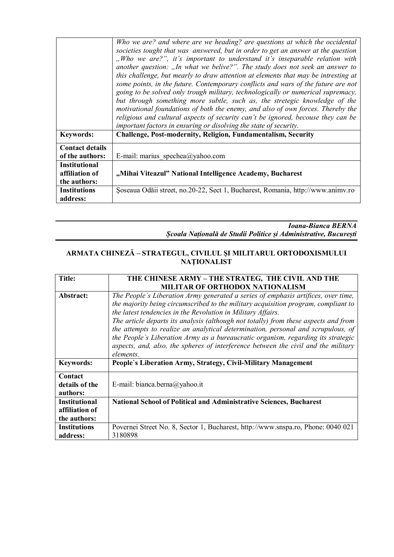|                                                        | Who we are? and where are we heading? are questions at which the occidental<br>societies tought that was answered, but in order to get an answer at the question<br>"Who we are?", it's important to understand it's inseparable relation with<br>another question: "In what we belive?". The study does not seek an answer to<br>this challenge, but mearly to draw attention at elements that may be intresting at<br>some points, in the future. Contemporary conflicts and wars of the future are not<br>going to be solved only trough military, technologically or numerical supremacy,<br>but through something more subtle, such as, the stretegic knowledge of the<br>motivational foundations of both the enemy, and also of own forces. Thereby the<br>religious and cultural aspects of security can't be ignored, becouse they can be<br>important factors in ensuring or disolving the state of security. |
|--------------------------------------------------------|-------------------------------------------------------------------------------------------------------------------------------------------------------------------------------------------------------------------------------------------------------------------------------------------------------------------------------------------------------------------------------------------------------------------------------------------------------------------------------------------------------------------------------------------------------------------------------------------------------------------------------------------------------------------------------------------------------------------------------------------------------------------------------------------------------------------------------------------------------------------------------------------------------------------------|
| <b>Keywords:</b>                                       | Challenge, Post-modernity, Religion, Fundamentalism, Security                                                                                                                                                                                                                                                                                                                                                                                                                                                                                                                                                                                                                                                                                                                                                                                                                                                           |
| <b>Contact details</b><br>of the authors:              | E-mail: marius spechea@yahoo.com                                                                                                                                                                                                                                                                                                                                                                                                                                                                                                                                                                                                                                                                                                                                                                                                                                                                                        |
| <b>Institutional</b><br>affiliation of<br>the authors: | "Mihai Viteazul" National Intelligence Academy, Bucharest                                                                                                                                                                                                                                                                                                                                                                                                                                                                                                                                                                                                                                                                                                                                                                                                                                                               |
| <b>Institutions</b><br>address:                        | Soseaua Odăii street, no. 20-22, Sect 1, Bucharest, Romania, http://www.animy.ro                                                                                                                                                                                                                                                                                                                                                                                                                                                                                                                                                                                                                                                                                                                                                                                                                                        |

*Ioana-Bianca BERNA Școala Națională de Studii Politice și Administrative, București*

#### **ARMATA CHINEZĂ – STRATEGUL, CIVILUL ŞI MILITARUL ORTODOXISMULUI NAŢIONALIST**

| <b>Title:</b>        | THE CHINESE ARMY - THE STRATEG, THE CIVIL AND THE                                   |  |  |  |
|----------------------|-------------------------------------------------------------------------------------|--|--|--|
|                      | <b>MILITAR OF ORTHODOX NATIONALISM</b>                                              |  |  |  |
| Abstract:            | The People's Liberation Army generated a series of emphasis artifices, over time,   |  |  |  |
|                      | the majority being circumscribed to the military acquisition program, compliant to  |  |  |  |
|                      | the latest tendencies in the Revolution in Military Affairs.                        |  |  |  |
|                      | The article departs its analysis (although not totally) from these aspects and from |  |  |  |
|                      | the attempts to realize an analytical determination, personal and scrupulous, of    |  |  |  |
|                      | the People's Liberation Army as a bureaucratic organism, regarding its strategic    |  |  |  |
|                      | aspects, and, also, the spheres of interference between the civil and the military  |  |  |  |
|                      | elements.                                                                           |  |  |  |
| <b>Keywords:</b>     | People's Liberation Army, Strategy, Civil-Military Management                       |  |  |  |
| Contact              |                                                                                     |  |  |  |
| details of the       | E-mail: bianca.berna@yahoo.it                                                       |  |  |  |
| authors:             |                                                                                     |  |  |  |
| <b>Institutional</b> | <b>National School of Political and Administrative Sciences, Bucharest</b>          |  |  |  |
| affiliation of       |                                                                                     |  |  |  |
| the authors:         |                                                                                     |  |  |  |
| <b>Institutions</b>  | Povernei Street No. 8, Sector 1, Bucharest, http://www.snspa.ro, Phone: 0040 021    |  |  |  |
| address:             | 3180898                                                                             |  |  |  |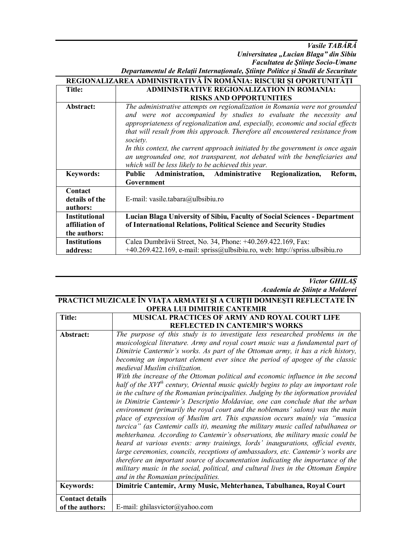*Vasile TABĂRĂ*

*Universitatea "Lucian Blaga" din Sibiu Facultatea de Ştiinţe Socio-Umane*

| Departamentul de Relații Internaționale, Științe Politice și Studii de Securitate |  |  |
|-----------------------------------------------------------------------------------|--|--|

|                                                        | REGIONALIZAREA ADMINISTRATIVĂ ÎN ROMÂNIA: RISCURI ȘI OPORTUNITĂȚI                                                                                                                                                                                                                                                                                                                                                                                                                                                                                         |  |  |  |  |
|--------------------------------------------------------|-----------------------------------------------------------------------------------------------------------------------------------------------------------------------------------------------------------------------------------------------------------------------------------------------------------------------------------------------------------------------------------------------------------------------------------------------------------------------------------------------------------------------------------------------------------|--|--|--|--|
| <b>Title:</b>                                          | ADMINISTRATIVE REGIONALIZATION IN ROMANIA:                                                                                                                                                                                                                                                                                                                                                                                                                                                                                                                |  |  |  |  |
|                                                        | <b>RISKS AND OPPORTUNITIES</b>                                                                                                                                                                                                                                                                                                                                                                                                                                                                                                                            |  |  |  |  |
| Abstract:                                              | The administrative attempts on regionalization in Romania were not grounded<br>and were not accompanied by studies to evaluate the necessity and<br>appropriateness of regionalization and, especially, economic and social effects<br>that will result from this approach. Therefore all encountered resistance from<br>society.<br>In this context, the current approach initiated by the government is once again<br>an ungrounded one, not transparent, not debated with the beneficiaries and<br>which will be less likely to be achieved this year. |  |  |  |  |
| <b>Keywords:</b>                                       | Administration, Administrative<br>Public<br>Regionalization,<br>Reform,<br>Government                                                                                                                                                                                                                                                                                                                                                                                                                                                                     |  |  |  |  |
| Contact<br>details of the<br>authors:                  | E-mail: vasile.tabara@ulbsibiu.ro                                                                                                                                                                                                                                                                                                                                                                                                                                                                                                                         |  |  |  |  |
| <b>Institutional</b><br>affiliation of<br>the authors: | Lucian Blaga University of Sibiu, Faculty of Social Sciences - Department<br>of International Relations, Political Science and Security Studies                                                                                                                                                                                                                                                                                                                                                                                                           |  |  |  |  |
| <b>Institutions</b><br>address:                        | Calea Dumbrăvii Street, No. 34, Phone: +40.269.422.169, Fax:<br>+40.269.422.169, e-mail: spriss@ulbsibiu.ro, web: http://spriss.ulbsibiu.ro                                                                                                                                                                                                                                                                                                                                                                                                               |  |  |  |  |

#### *Victor GHILAȘ Academia de Științe a Moldovei*

#### **PRACTICI MUZICALE ÎN VIAŢA ARMATEI ŞI A CURŢII DOMNEŞTI REFLECTATE ÎN OPERA LUI DIMITRIE CANTEMIR**

| <b>Title:</b>          | <b>MUSICAL PRACTICES OF ARMY AND ROYAL COURT LIFE</b>                                |  |  |  |  |
|------------------------|--------------------------------------------------------------------------------------|--|--|--|--|
|                        | <b>REFLECTED IN CANTEMIR'S WORKS</b>                                                 |  |  |  |  |
| Abstract:              | The purpose of this study is to investigate less researched problems in the          |  |  |  |  |
|                        | musicological literature. Army and royal court music was a fundamental part of       |  |  |  |  |
|                        | Dimitrie Cantermir's works. As part of the Ottoman army, it has a rich history,      |  |  |  |  |
|                        | becoming an important element ever since the period of apogee of the classic         |  |  |  |  |
|                        | medieval Muslim civilization.                                                        |  |  |  |  |
|                        | With the increase of the Ottoman political and economic influence in the second      |  |  |  |  |
|                        | half of the $XVIth$ century, Oriental music quickly begins to play an important role |  |  |  |  |
|                        | in the culture of the Romanian principalities. Judging by the information provided   |  |  |  |  |
|                        | in Dimitrie Cantemir's Descriptio Moldaviae, one can conclude that the urban         |  |  |  |  |
|                        | environment (primarily the royal court and the noblemans' salons) was the main       |  |  |  |  |
|                        | place of expression of Muslim art. This expansion occurs mainly via "musica          |  |  |  |  |
|                        | turcica" (as Cantemir calls it), meaning the military music called tabulhanea or     |  |  |  |  |
|                        | mehterhanea. According to Cantemir's observations, the military music could be       |  |  |  |  |
|                        | heard at various events: army trainings, lords' inaugurations, official events,      |  |  |  |  |
|                        | large ceremonies, councils, receptions of ambassadors, etc. Cantemir's works are     |  |  |  |  |
|                        | therefore an important source of documentation indicating the importance of the      |  |  |  |  |
|                        | military music in the social, political, and cultural lives in the Ottoman Empire    |  |  |  |  |
|                        | and in the Romanian principalities.                                                  |  |  |  |  |
| <b>Keywords:</b>       | Dimitrie Cantemir, Army Music, Mehterhanea, Tabulhanea, Royal Court                  |  |  |  |  |
| <b>Contact details</b> |                                                                                      |  |  |  |  |
| of the authors:        | E-mail: ghilasvictor@yahoo.com                                                       |  |  |  |  |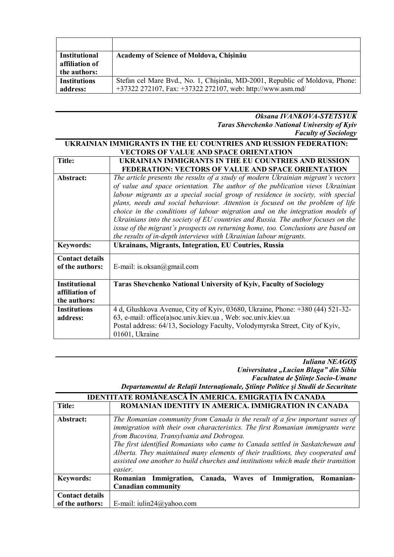| <b>Institutional</b> | Academy of Science of Moldova, Chișinău                                     |
|----------------------|-----------------------------------------------------------------------------|
| affiliation of       |                                                                             |
| the authors:         |                                                                             |
| <b>Institutions</b>  | Stefan cel Mare Bvd., No. 1, Chisinău, MD-2001, Republic of Moldova, Phone: |
| address:             | +37322 272107, Fax: +37322 272107, web: http://www.asm.md/                  |

*Oksana IVANKOVA-STETSYUK Taras Shevchenko National University of Kyiv Faculty of Sociology*

#### **UKRAINIAN IMMIGRANTS IN THE EU COUNTRIES AND RUSSION FEDERATION: VECTORS OF VALUE AND SPACE ORIENTATION Title: UKRAINIAN IMMIGRANTS IN THE EU COUNTRIES AND RUSSION FEDERATION: VECTORS OF VALUE AND SPACE ORIENTATION**

| Abstract:                                 | The article presents the results of a study of modern Ukrainian migrant's vectors<br>of value and space orientation. The author of the publication views Ukrainian<br>labour migrants as a special social group of residence in society, with special<br>plans, needs and social behaviour. Attention is focused on the problem of life<br>choice in the conditions of labour migration and on the integration models of<br>Ukrainians into the society of EU countries and Russia. The author focuses on the<br>issue of the migrant's prospects on returning home, too. Conclusions are based on<br>the results of in-depth interviews with Ukrainian labour migrants. |
|-------------------------------------------|--------------------------------------------------------------------------------------------------------------------------------------------------------------------------------------------------------------------------------------------------------------------------------------------------------------------------------------------------------------------------------------------------------------------------------------------------------------------------------------------------------------------------------------------------------------------------------------------------------------------------------------------------------------------------|
| <b>Keywords:</b>                          | <b>Ukrainans, Migrants, Integration, EU Coutries, Russia</b>                                                                                                                                                                                                                                                                                                                                                                                                                                                                                                                                                                                                             |
| <b>Contact details</b><br>of the authors: | E-mail: is.oksan@gmail.com                                                                                                                                                                                                                                                                                                                                                                                                                                                                                                                                                                                                                                               |
| <b>Institutional</b>                      | <b>Taras Shevchenko National University of Kyiv, Faculty of Sociology</b>                                                                                                                                                                                                                                                                                                                                                                                                                                                                                                                                                                                                |
| affiliation of                            |                                                                                                                                                                                                                                                                                                                                                                                                                                                                                                                                                                                                                                                                          |
| the authors:                              |                                                                                                                                                                                                                                                                                                                                                                                                                                                                                                                                                                                                                                                                          |
| <b>Institutions</b>                       | 4 d, Glushkova Avenue, City of Kyiv, 03680, Ukraine, Phone: +380 (44) 521-32-                                                                                                                                                                                                                                                                                                                                                                                                                                                                                                                                                                                            |
| address:                                  | 63, e-mail: office(a)soc.univ.kiev.ua, Web: soc.univ.kiev.ua                                                                                                                                                                                                                                                                                                                                                                                                                                                                                                                                                                                                             |
|                                           | Postal address: 64/13, Sociology Faculty, Volodymyrska Street, City of Kyiv,                                                                                                                                                                                                                                                                                                                                                                                                                                                                                                                                                                                             |
|                                           | 01601, Ukraine                                                                                                                                                                                                                                                                                                                                                                                                                                                                                                                                                                                                                                                           |

#### *Iuliana NEAGOŞ Universitatea "Lucian Blaga" din Sibiu Facultatea de Ştiinţe Socio-Umane*

| Departamentul de Relații Internaționale, Științe Politice și Studii de Securitate |  |  |  |  |  |  |
|-----------------------------------------------------------------------------------|--|--|--|--|--|--|
|-----------------------------------------------------------------------------------|--|--|--|--|--|--|

|                        | <u>IDENTITATE ROMÂNEASCĂ ÎN AMERICA. EMIGRAȚIA ÎN CANADA</u>                                                                                                                                                                                                                                                                                                                                                                                                                      |
|------------------------|-----------------------------------------------------------------------------------------------------------------------------------------------------------------------------------------------------------------------------------------------------------------------------------------------------------------------------------------------------------------------------------------------------------------------------------------------------------------------------------|
| Title:                 | ROMANIAN IDENTITY IN AMERICA. IMMIGRATION IN CANADA                                                                                                                                                                                                                                                                                                                                                                                                                               |
| Abstract:              | The Romanian community from Canada is the result of a few important waves of<br>immigration with their own characteristics. The first Romanian immigrants were<br>from Bucovina, Transylvania and Dobrogea.<br>The first identified Romanians who came to Canada settled in Saskatchewan and<br>Alberta. They maintained many elements of their traditions, they cooperated and<br>assisted one another to build churches and institutions which made their transition<br>easier. |
| <b>Keywords:</b>       | Romanian Immigration, Canada, Waves of Immigration, Romanian-<br><b>Canadian community</b>                                                                                                                                                                                                                                                                                                                                                                                        |
| <b>Contact details</b> |                                                                                                                                                                                                                                                                                                                                                                                                                                                                                   |
| of the authors:        | E-mail: iulin24@yahoo.com                                                                                                                                                                                                                                                                                                                                                                                                                                                         |